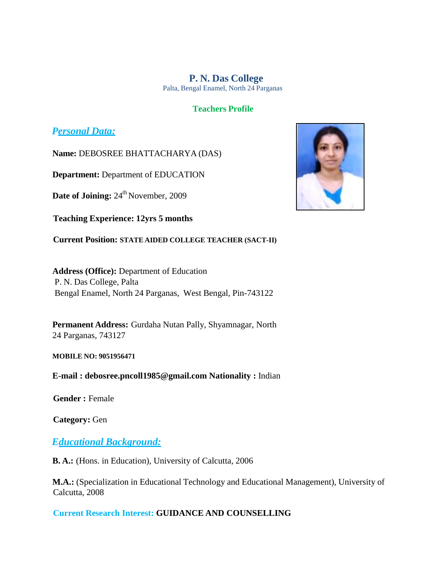**P. N. Das College** Palta, Bengal Enamel, North 24 Parganas

#### **Teachers Profile**

## *Personal Data:*

**Name:** DEBOSREE BHATTACHARYA (DAS)

**Department:** Department of EDUCATION

**Date of Joining:**  $24^{th}$  November, 2009

**Teaching Experience: 12yrs 5 months**

**Current Position: STATE AIDED COLLEGE TEACHER (SACT-II)**

**Address (Office):** Department of Education P. N. Das College, Palta Bengal Enamel, North 24 Parganas, West Bengal, Pin-743122

**Permanent Address:** Gurdaha Nutan Pally, Shyamnagar, North 24 Parganas, 743127

**MOBILE NO: 9051956471**

**E-mail : [debosree.pncoll1985@gmail.com](mailto:debosree.pncoll1985@gmail.com) Nationality :** Indian

**Gender :** Female

**Category:** Gen

## *Educational Background:*

**B. A.:** (Hons. in Education), University of Calcutta, 2006

**M.A.:** (Specialization in Educational Technology and Educational Management), University of Calcutta, 2008

### **Current Research Interest: GUIDANCE AND COUNSELLING**

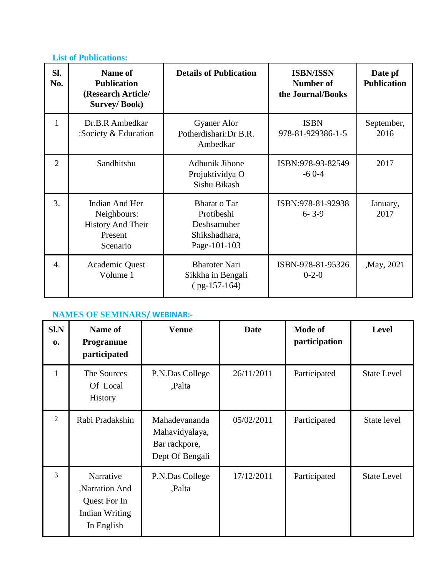## **List of Publications:**

| SI.<br>No.       | <b>Name of</b><br><b>Publication</b><br>(Research Article/<br><b>Survey/Book)</b>       | <b>Details of Publication</b>                                                     | <b>ISBN/ISSN</b><br>Number of<br>the Journal/Books | Date pf<br><b>Publication</b> |
|------------------|-----------------------------------------------------------------------------------------|-----------------------------------------------------------------------------------|----------------------------------------------------|-------------------------------|
| $\mathbf{1}$     | Dr.B.R Ambedkar<br>:Society $&$ Education                                               | <b>Gyaner Alor</b><br>Potherdishari: Dr B.R.<br>Ambedkar                          | <b>ISBN</b><br>978-81-929386-1-5                   | September,<br>2016            |
| $\overline{2}$   | Sandhitshu                                                                              | Adhunik Jibone<br>Projuktividya O<br>Sishu Bikash                                 | ISBN:978-93-82549<br>$-60-4$                       | 2017                          |
| 3.               | <b>Indian And Her</b><br>Neighbours:<br><b>History And Their</b><br>Present<br>Scenario | <b>Bharat o Tar</b><br>Protibeshi<br>Deshsamuher<br>Shikshadhara,<br>Page-101-103 | ISBN:978-81-92938<br>$6 - 3 - 9$                   | January,<br>2017              |
| $\overline{4}$ . | Academic Quest<br>Volume 1                                                              | <b>Bharoter Nari</b><br>Sikkha in Bengali<br>$(pg-157-164)$                       | ISBN-978-81-95326<br>$0 - 2 - 0$                   | , May, 2021                   |

# **NAMES OF SEMINARS/ WEBINAR:-**

| $S1$ . $N$<br>$\mathbf{0}$ | Name of<br>Programme<br>participated                                       | <b>Venue</b>                                                        | Date       | Mode of<br>participation | Level              |
|----------------------------|----------------------------------------------------------------------------|---------------------------------------------------------------------|------------|--------------------------|--------------------|
| $\mathbf{1}$               | The Sources<br>Of Local<br><b>History</b>                                  | P.N.Das College<br>,Palta                                           | 26/11/2011 | Participated             | <b>State Level</b> |
| 2                          | Rabi Pradakshin                                                            | Mahadevananda<br>Mahavidyalaya,<br>Bar rackpore,<br>Dept Of Bengali | 05/02/2011 | Participated             | State level        |
| 3                          | Narrative<br>Narration And<br>Quest For In<br>Indian Writing<br>In English | P.N.Das College<br>,Palta                                           | 17/12/2011 | Participated             | <b>State Level</b> |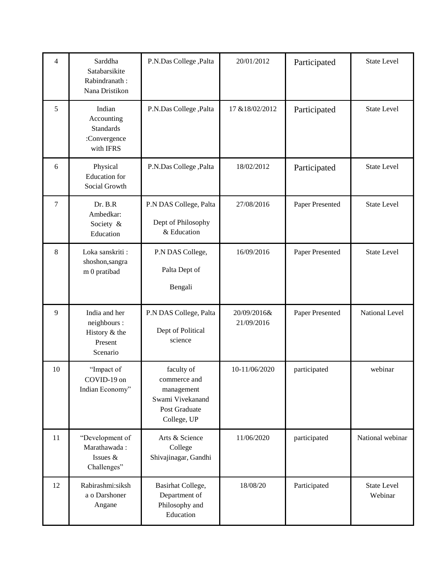| 4              | Sarddha<br>Satabarsikite<br>Rabindranath:<br>Nana Dristikon             | P.N.Das College, Palta                                                                       | 20/01/2012                | Participated    | <b>State Level</b>            |
|----------------|-------------------------------------------------------------------------|----------------------------------------------------------------------------------------------|---------------------------|-----------------|-------------------------------|
| 5              | Indian<br>Accounting<br><b>Standards</b><br>:Convergence<br>with IFRS   | P.N.Das College, Palta                                                                       | 17 & 18/02/2012           | Participated    | <b>State Level</b>            |
| 6              | Physical<br><b>Education</b> for<br>Social Growth                       | P.N.Das College, Palta                                                                       | 18/02/2012                | Participated    | <b>State Level</b>            |
| $\overline{7}$ | Dr. B.R<br>Ambedkar:<br>Society &<br>Education                          | P.N DAS College, Palta<br>Dept of Philosophy<br>& Education                                  | 27/08/2016                | Paper Presented | <b>State Level</b>            |
| 8              | Loka sanskriti:<br>shoshon, sangra<br>m 0 pratibad                      | P.N DAS College,<br>Palta Dept of<br>Bengali                                                 | 16/09/2016                | Paper Presented | <b>State Level</b>            |
| 9              | India and her<br>neighbours :<br>History $&$ the<br>Present<br>Scenario | P.N DAS College, Palta<br>Dept of Political<br>science                                       | 20/09/2016&<br>21/09/2016 | Paper Presented | National Level                |
| 10             | "Impact of<br>COVID-19 on<br>Indian Economy"                            | faculty of<br>commerce and<br>management<br>Swami Vivekanand<br>Post Graduate<br>College, UP | 10-11/06/2020             | participated    | webinar                       |
| 11             | "Development of<br>Marathawada:<br>Issues &<br>Challenges"              | Arts & Science<br>College<br>Shivajinagar, Gandhi                                            | 11/06/2020                | participated    | National webinar              |
| 12             | Rabirashmi:siksh<br>a o Darshoner<br>Angane                             | Basirhat College,<br>Department of<br>Philosophy and<br>Education                            | 18/08/20                  | Participated    | <b>State Level</b><br>Webinar |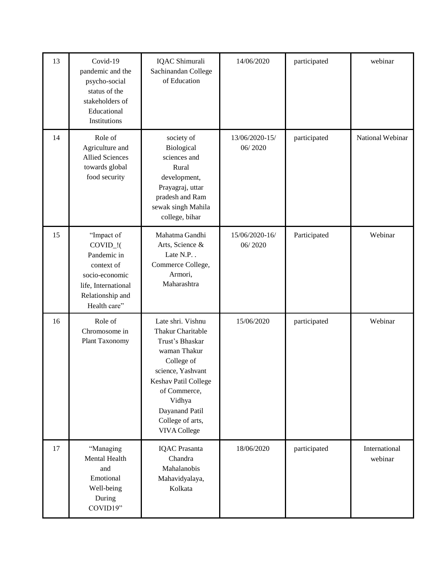| 13 | Covid-19<br>pandemic and the<br>psycho-social<br>status of the<br>stakeholders of<br>Educational<br>Institutions                                           | IQAC Shimurali<br>Sachinandan College<br>of Education                                                                                                                                                                       | 14/06/2020                | participated | webinar                  |
|----|------------------------------------------------------------------------------------------------------------------------------------------------------------|-----------------------------------------------------------------------------------------------------------------------------------------------------------------------------------------------------------------------------|---------------------------|--------------|--------------------------|
| 14 | Role of<br>Agriculture and<br><b>Allied Sciences</b><br>towards global<br>food security                                                                    | society of<br>Biological<br>sciences and<br>Rural<br>development,<br>Prayagraj, uttar<br>pradesh and Ram<br>sewak singh Mahila<br>college, bihar                                                                            | 13/06/2020-15/<br>06/2020 | participated | National Webinar         |
| 15 | "Impact of<br>$COVID$ <sup><math>!(</math></sup><br>Pandemic in<br>context of<br>socio-economic<br>life, International<br>Relationship and<br>Health care" | Mahatma Gandhi<br>Arts, Science &<br>Late N.P<br>Commerce College,<br>Armori,<br>Maharashtra                                                                                                                                | 15/06/2020-16/<br>06/2020 | Participated | Webinar                  |
| 16 | Role of<br>Chromosome in<br>Plant Taxonomy                                                                                                                 | Late shri. Vishnu<br><b>Thakur Charitable</b><br>Trust's Bhaskar<br>waman Thakur<br>College of<br>science, Yashvant<br>Keshav Patil College<br>of Commerce,<br>Vidhya<br>Dayanand Patil<br>College of arts,<br>VIVA College | 15/06/2020                | participated | Webinar                  |
| 17 | "Managing<br><b>Mental Health</b><br>and<br>Emotional<br>Well-being<br>During<br>COVID19"                                                                  | <b>IQAC</b> Prasanta<br>Chandra<br>Mahalanobis<br>Mahavidyalaya,<br>Kolkata                                                                                                                                                 | 18/06/2020                | participated | International<br>webinar |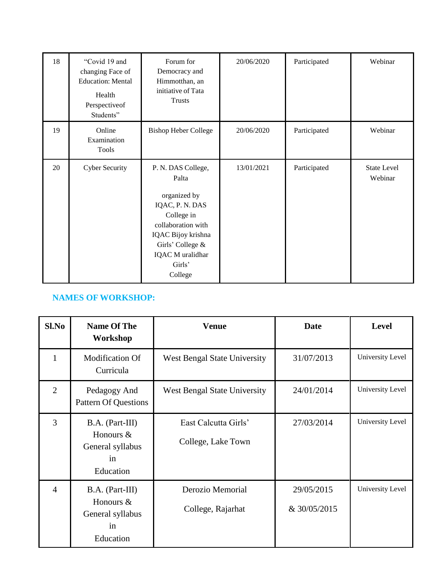| 18 | "Covid 19 and<br>changing Face of<br><b>Education: Mental</b><br>Health<br>Perspectiveof<br>Students" | Forum for<br>Democracy and<br>Himmotthan, an<br>initiative of Tata<br><b>Trusts</b>                                                                                                   | 20/06/2020 | Participated | Webinar                       |
|----|-------------------------------------------------------------------------------------------------------|---------------------------------------------------------------------------------------------------------------------------------------------------------------------------------------|------------|--------------|-------------------------------|
| 19 | Online<br>Examination<br>Tools                                                                        | <b>Bishop Heber College</b>                                                                                                                                                           | 20/06/2020 | Participated | Webinar                       |
| 20 | <b>Cyber Security</b>                                                                                 | P. N. DAS College,<br>Palta<br>organized by<br>IQAC, P. N. DAS<br>College in<br>collaboration with<br>IQAC Bijoy krishna<br>Girls' College &<br>IQAC M uralidhar<br>Girls'<br>College | 13/01/2021 | Participated | <b>State Level</b><br>Webinar |

## **NAMES OF WORKSHOP:**

| Sl.No          | <b>Name Of The</b><br>Workshop                                      | <b>Venue</b>                               | <b>Date</b>                | <b>Level</b>     |
|----------------|---------------------------------------------------------------------|--------------------------------------------|----------------------------|------------------|
| 1              | Modification Of<br>Curricula                                        | <b>West Bengal State University</b>        | 31/07/2013                 | University Level |
| $\overline{2}$ | Pedagogy And<br><b>Pattern Of Questions</b>                         | <b>West Bengal State University</b>        | 24/01/2014                 | University Level |
| $\overline{3}$ | B.A. (Part-III)<br>Honours &<br>General syllabus<br>in<br>Education | East Calcutta Girls'<br>College, Lake Town | 27/03/2014                 | University Level |
| $\overline{4}$ | B.A. (Part-III)<br>Honours &<br>General syllabus<br>in<br>Education | Derozio Memorial<br>College, Rajarhat      | 29/05/2015<br>& 30/05/2015 | University Level |